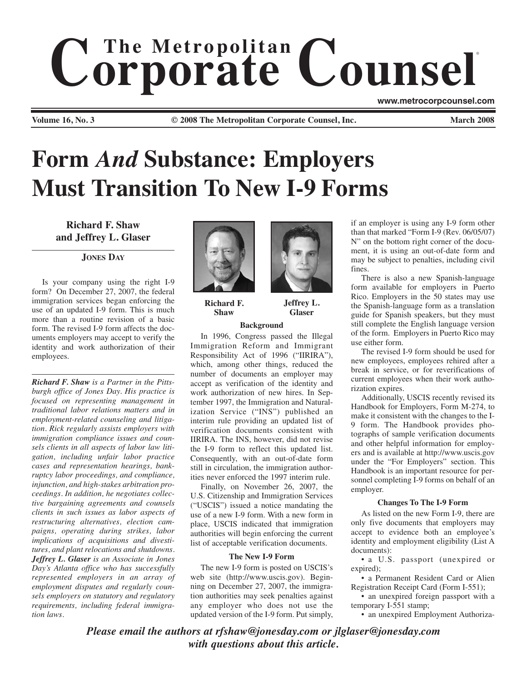# $$ ® **www.metrocorpcounsel.com**

**Volume 16, No. 3 © 2008 The Metropolitan Corporate Counsel, Inc. March 2008**

# **Form** *And* **Substance: Employers Must Transition To New I-9 Forms**

**Richard F. Shaw and Jeffrey L. Glaser**

# **JONES DAY**

Is your company using the right I-9 form? On December 27, 2007, the federal immigration services began enforcing the use of an updated I-9 form. This is much more than a routine revision of a basic form. The revised I-9 form affects the documents employers may accept to verify the identity and work authorization of their employees.

*Richard F. Shaw is a Partner in the Pittsburgh office of Jones Day. His practice is focused on representing management in traditional labor relations matters and in employment-related counseling and litigation. Rick regularly assists employers with immigration compliance issues and counsels clients in all aspects of labor law litigation, including unfair labor practice cases and representation hearings, bankruptcy labor proceedings, and compliance, injunction, and high-stakes arbitration proceedings. In addition, he negotiates collective bargaining agreements and counsels clients in such issues as labor aspects of restructuring alternatives, election campaigns, operating during strikes, labor implications of acquisitions and divestitures, and plant relocations and shutdowns. Jeffrey L. Glaser is an Associate in Jones Day's Atlanta office who has successfully represented employers in an array of employment disputes and regularly counsels employers on statutory and regulatory requirements, including federal immigration laws.*



**Richard F. Shaw**

### **Background**

**Jeffrey L. Glaser**

In 1996, Congress passed the Illegal Immigration Reform and Immigrant Responsibility Act of 1996 ("IIRIRA"), which, among other things, reduced the number of documents an employer may accept as verification of the identity and work authorization of new hires. In September 1997, the Immigration and Naturalization Service ("INS") published an interim rule providing an updated list of verification documents consistent with IIRIRA. The INS, however, did not revise the I-9 form to reflect this updated list. Consequently, with an out-of-date form still in circulation, the immigration authorities never enforced the 1997 interim rule.

Finally, on November 26, 2007, the U.S. Citizenship and Immigration Services ("USCIS") issued a notice mandating the use of a new I-9 form. With a new form in place, USCIS indicated that immigration authorities will begin enforcing the current list of acceptable verification documents.

#### **The New I-9 Form**

The new I-9 form is posted on USCIS's web site (http://www.uscis.gov). Beginning on December 27, 2007, the immigration authorities may seek penalties against any employer who does not use the updated version of the I-9 form. Put simply,

if an employer is using any I-9 form other than that marked "Form I-9 (Rev. 06/05/07) N" on the bottom right corner of the document, it is using an out-of-date form and may be subject to penalties, including civil fines.

There is also a new Spanish-language form available for employers in Puerto Rico. Employers in the 50 states may use the Spanish-language form as a translation guide for Spanish speakers, but they must still complete the English language version of the form. Employers in Puerto Rico may use either form.

The revised I-9 form should be used for new employees, employees rehired after a break in service, or for reverifications of current employees when their work authorization expires.

Additionally, USCIS recently revised its Handbook for Employers, Form M-274, to make it consistent with the changes to the I-9 form. The Handbook provides photographs of sample verification documents and other helpful information for employers and is available at http://www.uscis.gov under the "For Employers" section. This Handbook is an important resource for personnel completing I-9 forms on behalf of an employer.

## **Changes To The I-9 Form**

As listed on the new Form I-9, there are only five documents that employers may accept to evidence both an employee's identity and employment eligibility (List A documents):

• a U.S. passport (unexpired or expired);

• a Permanent Resident Card or Alien Registration Receipt Card (Form I-551);

• an unexpired foreign passport with a temporary I-551 stamp;

• an unexpired Employment Authoriza-

*Please email the authors at rfshaw@jonesday.com or jlglaser@jonesday.com with questions about this article.*